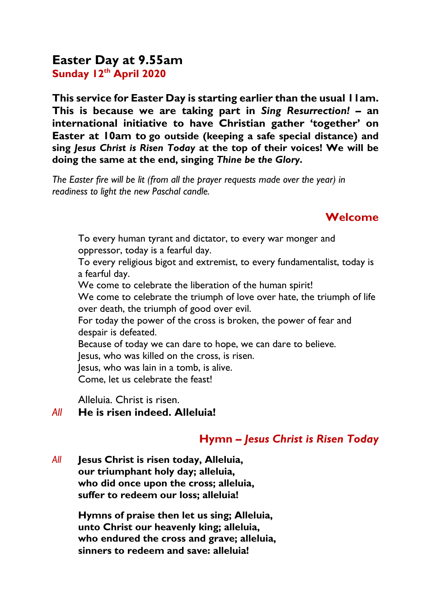# **Easter Day at 9.55am Sunday 12 th April 2020**

**This service for Easter Day is starting earlier than the usual 11am. This is because we are taking part in** *Sing Resurrection!* **– an international initiative to have Christian gather 'together' on Easter at 10am to go outside (keeping a safe special distance) and sing** *Jesus Christ is Risen Today* **at the top of their voices! We will be doing the same at the end, singing** *Thine be the Glory***.** 

*The Easter fire will be lit (from all the prayer requests made over the year) in readiness to light the new Paschal candle.*

## **Welcome**

To every human tyrant and dictator, to every war monger and oppressor, today is a fearful day. To every religious bigot and extremist, to every fundamentalist, today is a fearful day. We come to celebrate the liberation of the human spirit!

We come to celebrate the triumph of love over hate, the triumph of life over death, the triumph of good over evil.

For today the power of the cross is broken, the power of fear and despair is defeated.

Because of today we can dare to hope, we can dare to believe.

Jesus, who was killed on the cross, is risen.

Jesus, who was lain in a tomb, is alive.

Come, let us celebrate the feast!

Alleluia. Christ is risen.

### *All* **He is risen indeed. Alleluia!**

## **Hymn** *– Jesus Christ is Risen Today*

*All* **Jesus Christ is risen today, Alleluia, our triumphant holy day; alleluia, who did once upon the cross; alleluia, suffer to redeem our loss; alleluia!**

> **Hymns of praise then let us sing; Alleluia, unto Christ our heavenly king; alleluia, who endured the cross and grave; alleluia, sinners to redeem and save: alleluia!**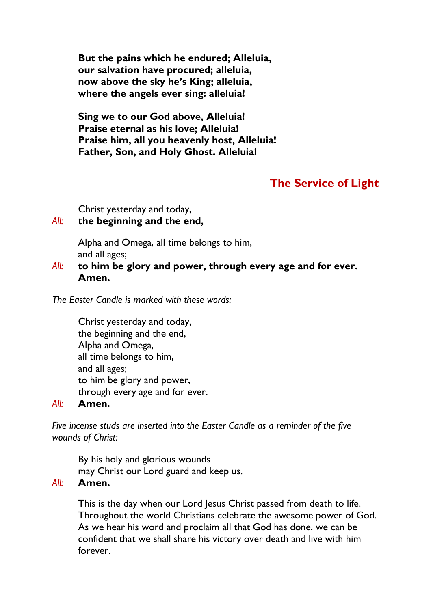**But the pains which he endured; Alleluia, our salvation have procured; alleluia, now above the sky he's King; alleluia, where the angels ever sing: alleluia!**

**Sing we to our God above, Alleluia! Praise eternal as his love; Alleluia! Praise him, all you heavenly host, Alleluia! Father, Son, and Holy Ghost. Alleluia!**

# **The Service of Light**

Christ yesterday and today,

#### *All:* **the beginning and the end,**

Alpha and Omega, all time belongs to him, and all ages;

*All:* **to him be glory and power, through every age and for ever. Amen.**

*The Easter Candle is marked with these words:*

Christ yesterday and today, the beginning and the end, Alpha and Omega, all time belongs to him, and all ages; to him be glory and power, through every age and for ever.

#### *All:* **Amen.**

*Five incense studs are inserted into the Easter Candle as a reminder of the five wounds of Christ:*

By his holy and glorious wounds may Christ our Lord guard and keep us.

#### *All:* **Amen.**

This is the day when our Lord Jesus Christ passed from death to life. Throughout the world Christians celebrate the awesome power of God. As we hear his word and proclaim all that God has done, we can be confident that we shall share his victory over death and live with him forever.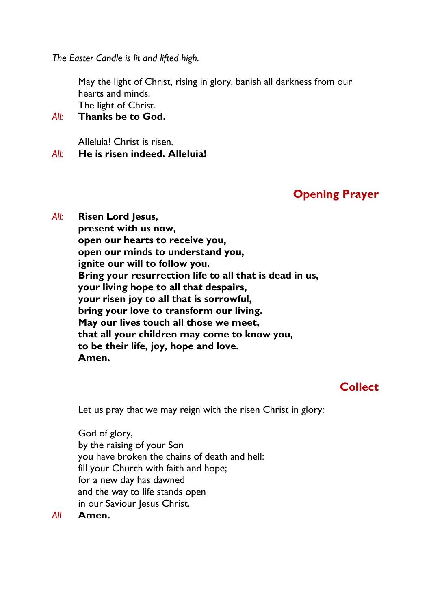*The Easter Candle is lit and lifted high.*

May the light of Christ, rising in glory, banish all darkness from our hearts and minds. The light of Christ.

#### *All:* **Thanks be to God.**

Alleluia! Christ is risen.

*All:* **He is risen indeed. Alleluia!**

## **Opening Prayer**

*All:* **Risen Lord Jesus, present with us now, open our hearts to receive you, open our minds to understand you, ignite our will to follow you. Bring your resurrection life to all that is dead in us, your living hope to all that despairs, your risen joy to all that is sorrowful, bring your love to transform our living. May our lives touch all those we meet, that all your children may come to know you, to be their life, joy, hope and love. Amen.**

## **Collect**

Let us pray that we may reign with the risen Christ in glory:

God of glory, by the raising of your Son you have broken the chains of death and hell: fill your Church with faith and hope; for a new day has dawned and the way to life stands open in our Saviour Jesus Christ.

*All* **Amen.**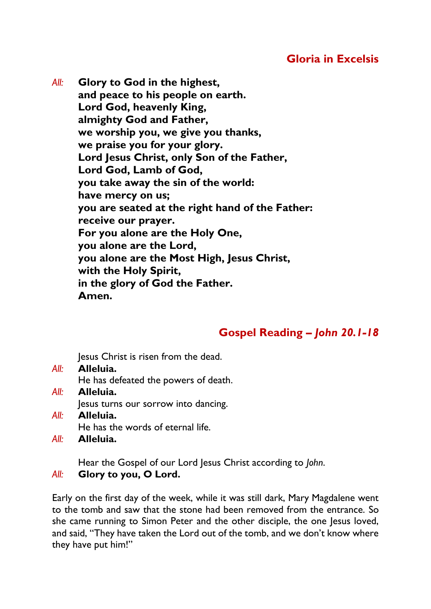*All:* **Glory to God in the highest, and peace to his people on earth. Lord God, heavenly King, almighty God and Father, we worship you, we give you thanks, we praise you for your glory. Lord Jesus Christ, only Son of the Father, Lord God, Lamb of God, you take away the sin of the world: have mercy on us; you are seated at the right hand of the Father: receive our prayer. For you alone are the Holy One, you alone are the Lord, you alone are the Most High, Jesus Christ, with the Holy Spirit, in the glory of God the Father. Amen.**

# **Gospel Reading** *– John 20.1-18*

Jesus Christ is risen from the dead.

- *All:* **Alleluia.** He has defeated the powers of death. *All:* **Alleluia.** Jesus turns our sorrow into dancing.
- *All:* **Alleluia.** He has the words of eternal life.
- *All:* **Alleluia.**

Hear the Gospel of our Lord Jesus Christ according to *John*.

#### *All:* **Glory to you, O Lord.**

Early on the first day of the week, while it was still dark, Mary Magdalene went to the tomb and saw that the stone had been removed from the entrance. So she came running to Simon Peter and the other disciple, the one Jesus loved, and said, "They have taken the Lord out of the tomb, and we don't know where they have put him!"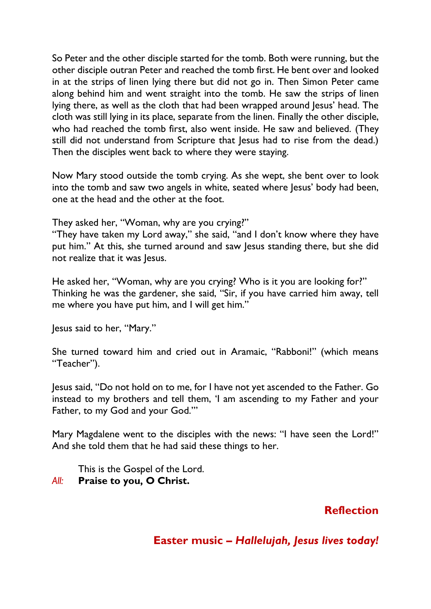So Peter and the other disciple started for the tomb. Both were running, but the other disciple outran Peter and reached the tomb first. He bent over and looked in at the strips of linen lying there but did not go in. Then Simon Peter came along behind him and went straight into the tomb. He saw the strips of linen lying there, as well as the cloth that had been wrapped around Jesus' head. The cloth was still lying in its place, separate from the linen. Finally the other disciple, who had reached the tomb first, also went inside. He saw and believed. (They still did not understand from Scripture that Jesus had to rise from the dead.) Then the disciples went back to where they were staying.

Now Mary stood outside the tomb crying. As she wept, she bent over to look into the tomb and saw two angels in white, seated where Jesus' body had been, one at the head and the other at the foot.

They asked her, "Woman, why are you crying?"

"They have taken my Lord away," she said, "and I don't know where they have put him." At this, she turned around and saw Jesus standing there, but she did not realize that it was Jesus.

He asked her, "Woman, why are you crying? Who is it you are looking for?" Thinking he was the gardener, she said, "Sir, if you have carried him away, tell me where you have put him, and I will get him."

Jesus said to her, "Mary."

She turned toward him and cried out in Aramaic, "Rabboni!" (which means "Teacher").

Jesus said, "Do not hold on to me, for I have not yet ascended to the Father. Go instead to my brothers and tell them, 'I am ascending to my Father and your Father, to my God and your God.'"

Mary Magdalene went to the disciples with the news: "I have seen the Lord!" And she told them that he had said these things to her.

This is the Gospel of the Lord. *All:* **Praise to you, O Christ.**

# **Reflection**

# **Easter music –** *Hallelujah, Jesus lives today!*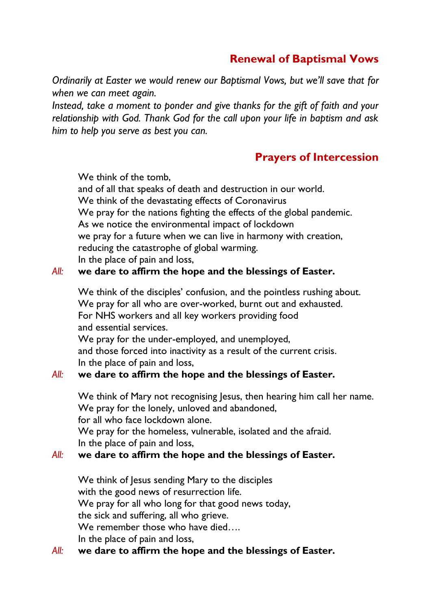# **Renewal of Baptismal Vows**

*Ordinarily at Easter we would renew our Baptismal Vows, but we'll save that for when we can meet again.*

*Instead, take a moment to ponder and give thanks for the gift of faith and your relationship with God. Thank God for the call upon your life in baptism and ask him to help you serve as best you can.* 

# **Prayers of Intercession**

We think of the tomb,

and of all that speaks of death and destruction in our world. We think of the devastating effects of Coronavirus We pray for the nations fighting the effects of the global pandemic. As we notice the environmental impact of lockdown we pray for a future when we can live in harmony with creation, reducing the catastrophe of global warming. In the place of pain and loss,

### *All:* **we dare to affirm the hope and the blessings of Easter.**

We think of the disciples' confusion, and the pointless rushing about. We pray for all who are over-worked, burnt out and exhausted. For NHS workers and all key workers providing food and essential services. We pray for the under-employed, and unemployed, and those forced into inactivity as a result of the current crisis. In the place of pain and loss,

### *All:* **we dare to affirm the hope and the blessings of Easter.**

We think of Mary not recognising Jesus, then hearing him call her name. We pray for the lonely, unloved and abandoned,

for all who face lockdown alone.

We pray for the homeless, vulnerable, isolated and the afraid. In the place of pain and loss,

### *All:* **we dare to affirm the hope and the blessings of Easter.**

We think of Jesus sending Mary to the disciples with the good news of resurrection life. We pray for all who long for that good news today, the sick and suffering, all who grieve. We remember those who have died.... In the place of pain and loss,

### *All:* **we dare to affirm the hope and the blessings of Easter.**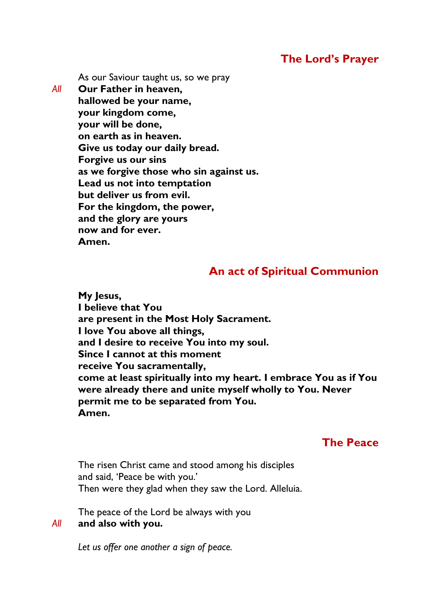## **The Lord's Prayer**

As our Saviour taught us, so we pray

*All* **Our Father in heaven, hallowed be your name, your kingdom come, your will be done, on earth as in heaven. Give us today our daily bread. Forgive us our sins as we forgive those who sin against us. Lead us not into temptation but deliver us from evil. For the kingdom, the power, and the glory are yours now and for ever. Amen.**

## **An act of Spiritual Communion**

**My Jesus, I believe that You are present in the Most Holy Sacrament. I love You above all things, and I desire to receive You into my soul. Since I cannot at this moment receive You sacramentally, come at least spiritually into my heart. I embrace You as if You were already there and unite myself wholly to You. Never permit me to be separated from You. Amen.**

## **The Peace**

The risen Christ came and stood among his disciples and said, 'Peace be with you.' Then were they glad when they saw the Lord. Alleluia.

The peace of the Lord be always with you *All* **and also with you.**

*Let us offer one another a sign of peace.*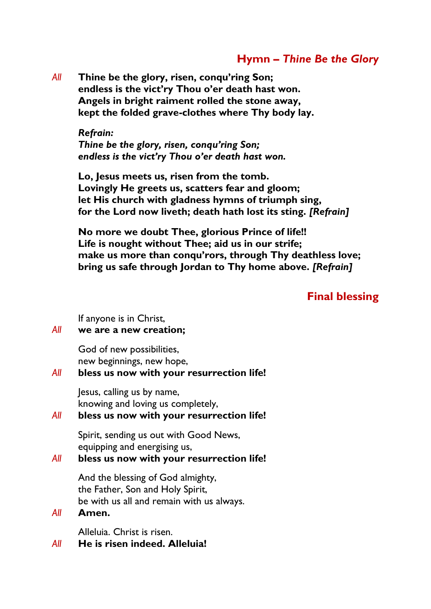## **Hymn** *– Thine Be the Glory*

*All* **Thine be the glory, risen, conqu'ring Son; endless is the vict'ry Thou o'er death hast won. Angels in bright raiment rolled the stone away, kept the folded grave-clothes where Thy body lay.**

#### *Refrain:*

*Thine be the glory, risen, conqu'ring Son; endless is the vict'ry Thou o'er death hast won.*

**Lo, Jesus meets us, risen from the tomb. Lovingly He greets us, scatters fear and gloom; let His church with gladness hymns of triumph sing, for the Lord now liveth; death hath lost its sting.** *[Refrain]*

**No more we doubt Thee, glorious Prince of life!! Life is nought without Thee; aid us in our strife; make us more than conqu'rors, through Thy deathless love; bring us safe through Jordan to Thy home above.** *[Refrain]* 

#### **Final blessing**

If anyone is in Christ,

#### *All* **we are a new creation;**

God of new possibilities, new beginnings, new hope,

#### *All* **bless us now with your resurrection life!**

Jesus, calling us by name, knowing and loving us completely,

#### *All* **bless us now with your resurrection life!**

Spirit, sending us out with Good News, equipping and energising us,

#### *All* **bless us now with your resurrection life!**

And the blessing of God almighty, the Father, Son and Holy Spirit, be with us all and remain with us always.

#### *All* **Amen.**

Alleluia. Christ is risen.

*All* **He is risen indeed. Alleluia!**